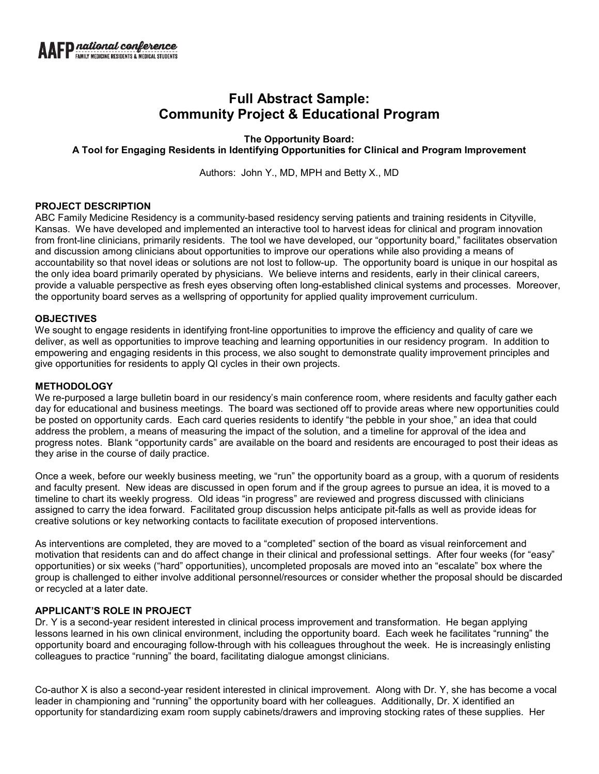# **Full Abstract Sample: Community Project & Educational Program**

## **The Opportunity Board: A Tool for Engaging Residents in Identifying Opportunities for Clinical and Program Improvement**

Authors: John Y., MD, MPH and Betty X., MD

## **PROJECT DESCRIPTION**

ABC Family Medicine Residency is a community-based residency serving patients and training residents in Cityville, Kansas. We have developed and implemented an interactive tool to harvest ideas for clinical and program innovation from front-line clinicians, primarily residents. The tool we have developed, our "opportunity board," facilitates observation and discussion among clinicians about opportunities to improve our operations while also providing a means of accountability so that novel ideas or solutions are not lost to follow-up. The opportunity board is unique in our hospital as the only idea board primarily operated by physicians. We believe interns and residents, early in their clinical careers, provide a valuable perspective as fresh eyes observing often long-established clinical systems and processes. Moreover, the opportunity board serves as a wellspring of opportunity for applied quality improvement curriculum.

### **OBJECTIVES**

We sought to engage residents in identifying front-line opportunities to improve the efficiency and quality of care we deliver, as well as opportunities to improve teaching and learning opportunities in our residency program. In addition to empowering and engaging residents in this process, we also sought to demonstrate quality improvement principles and give opportunities for residents to apply QI cycles in their own projects.

### **METHODOLOGY**

We re-purposed a large bulletin board in our residency's main conference room, where residents and faculty gather each day for educational and business meetings. The board was sectioned off to provide areas where new opportunities could be posted on opportunity cards. Each card queries residents to identify "the pebble in your shoe," an idea that could address the problem, a means of measuring the impact of the solution, and a timeline for approval of the idea and progress notes. Blank "opportunity cards" are available on the board and residents are encouraged to post their ideas as they arise in the course of daily practice.

Once a week, before our weekly business meeting, we "run" the opportunity board as a group, with a quorum of residents and faculty present. New ideas are discussed in open forum and if the group agrees to pursue an idea, it is moved to a timeline to chart its weekly progress. Old ideas "in progress" are reviewed and progress discussed with clinicians assigned to carry the idea forward. Facilitated group discussion helps anticipate pit-falls as well as provide ideas for creative solutions or key networking contacts to facilitate execution of proposed interventions.

As interventions are completed, they are moved to a "completed" section of the board as visual reinforcement and motivation that residents can and do affect change in their clinical and professional settings. After four weeks (for "easy" opportunities) or six weeks ("hard" opportunities), uncompleted proposals are moved into an "escalate" box where the group is challenged to either involve additional personnel/resources or consider whether the proposal should be discarded or recycled at a later date.

## **APPLICANT'S ROLE IN PROJECT**

Dr. Y is a second-year resident interested in clinical process improvement and transformation. He began applying lessons learned in his own clinical environment, including the opportunity board. Each week he facilitates "running" the opportunity board and encouraging follow-through with his colleagues throughout the week. He is increasingly enlisting colleagues to practice "running" the board, facilitating dialogue amongst clinicians.

Co-author X is also a second-year resident interested in clinical improvement. Along with Dr. Y, she has become a vocal leader in championing and "running" the opportunity board with her colleagues. Additionally, Dr. X identified an opportunity for standardizing exam room supply cabinets/drawers and improving stocking rates of these supplies. Her